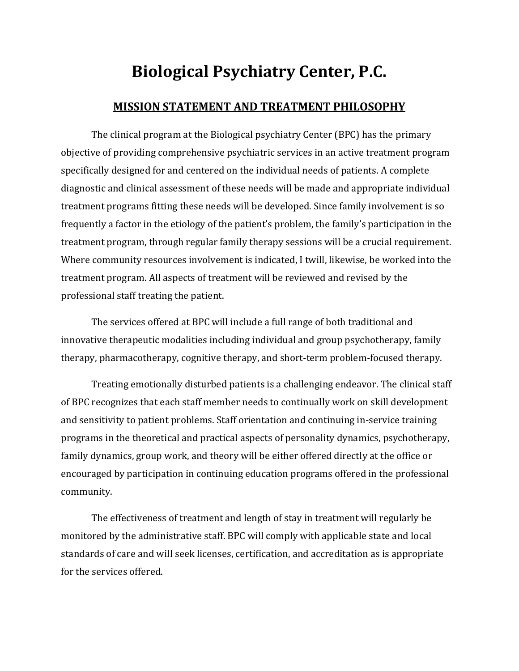# **Biological Psychiatry Center, P.C.**

#### **MISSION STATEMENT AND TREATMENT PHILOSOPHY**

The clinical program at the Biological psychiatry Center (BPC) has the primary objective of providing comprehensive psychiatric services in an active treatment program specifically designed for and centered on the individual needs of patients. A complete diagnostic and clinical assessment of these needs will be made and appropriate individual treatment programs fitting these needs will be developed. Since family involvement is so frequently a factor in the etiology of the patient's problem, the family's participation in the treatment program, through regular family therapy sessions will be a crucial requirement. Where community resources involvement is indicated, I twill, likewise, be worked into the treatment program. All aspects of treatment will be reviewed and revised by the professional staff treating the patient.

The services offered at BPC will include a full range of both traditional and innovative therapeutic modalities including individual and group psychotherapy, family therapy, pharmacotherapy, cognitive therapy, and short-term problem-focused therapy.

Treating emotionally disturbed patients is a challenging endeavor. The clinical staff of BPC recognizes that each staff member needs to continually work on skill development and sensitivity to patient problems. Staff orientation and continuing in-service training programs in the theoretical and practical aspects of personality dynamics, psychotherapy, family dynamics, group work, and theory will be either offered directly at the office or encouraged by participation in continuing education programs offered in the professional community.

The effectiveness of treatment and length of stay in treatment will regularly be monitored by the administrative staff. BPC will comply with applicable state and local standards of care and will seek licenses, certification, and accreditation as is appropriate for the services offered.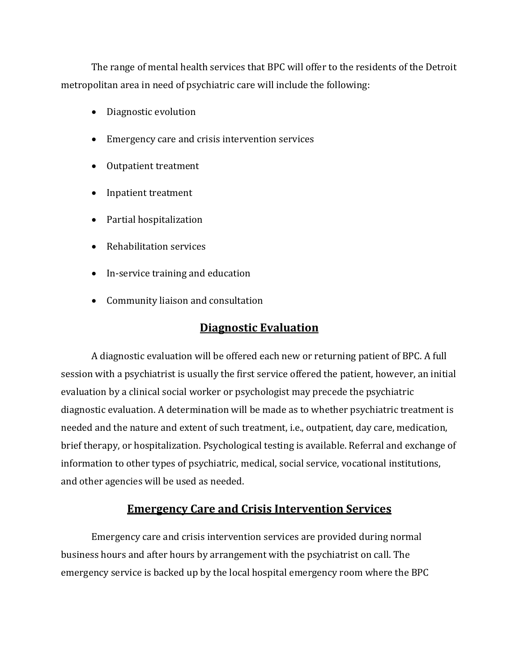The range of mental health services that BPC will offer to the residents of the Detroit metropolitan area in need of psychiatric care will include the following:

- Diagnostic evolution
- Emergency care and crisis intervention services
- Outpatient treatment
- Inpatient treatment
- Partial hospitalization
- Rehabilitation services
- In-service training and education
- Community liaison and consultation

### **Diagnostic Evaluation**

A diagnostic evaluation will be offered each new or returning patient of BPC. A full session with a psychiatrist is usually the first service offered the patient, however, an initial evaluation by a clinical social worker or psychologist may precede the psychiatric diagnostic evaluation. A determination will be made as to whether psychiatric treatment is needed and the nature and extent of such treatment, i.e., outpatient, day care, medication, brief therapy, or hospitalization. Psychological testing is available. Referral and exchange of information to other types of psychiatric, medical, social service, vocational institutions, and other agencies will be used as needed.

#### **Emergency Care and Crisis Intervention Services**

Emergency care and crisis intervention services are provided during normal business hours and after hours by arrangement with the psychiatrist on call. The emergency service is backed up by the local hospital emergency room where the BPC